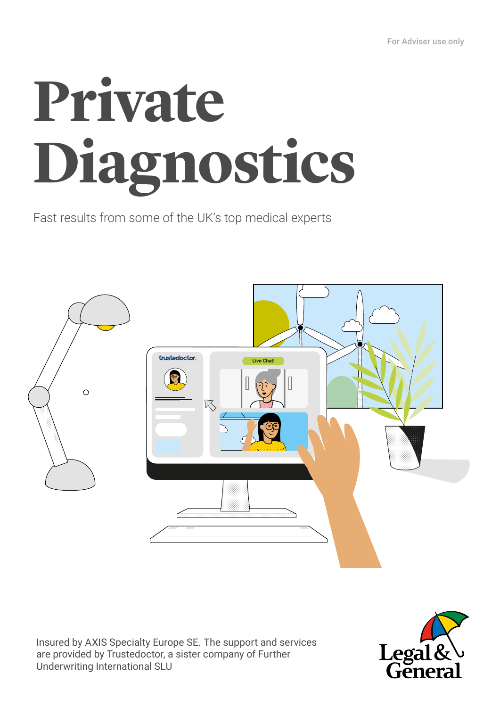# **Private Diagnostics**

Fast results from some of the UK's top medical experts



Insured by AXIS Specialty Europe SE. The support and services are provided by Trustedoctor, a sister company of Further Underwriting International SLU

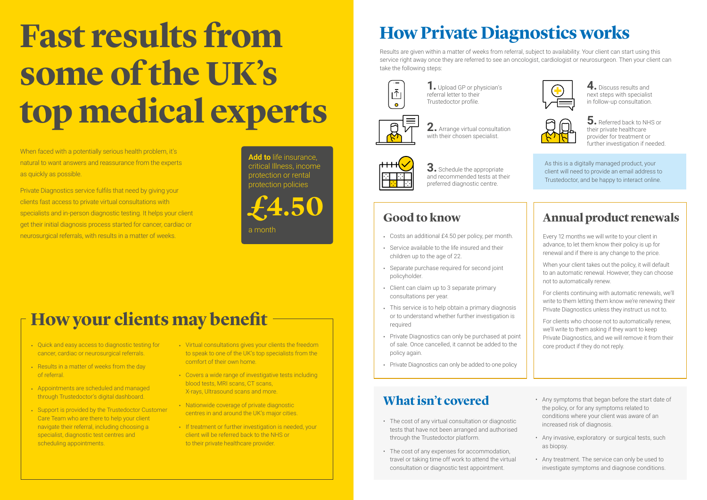- Costs an additional £4.50 per policy, per month.
- Service available to the life insured and their children up to the age of 22.
- Separate purchase required for second joint policyholder.
- Client can claim up to 3 separate primary consultations per year.
- This service is to help obtain a primary diagnosis or to understand whether further investigation is required
- Private Diagnostics can only be purchased at point of sale. Once cancelled, it cannot be added to the policy again.
- Private Diagnostics can only be added to one policy

## **Fast results from some of the UK's top medical experts**

#### **Good to know**

## **How Private Diagnostics works**

Results are given within a matter of weeks from referral, subject to availability. Your client can start using this service right away once they are referred to see an oncologist, cardiologist or neurosurgeon. Then your client can take the following steps:



When faced with a potentially serious health problem, it's natural to want answers and reassurance from the experts as quickly as possible.

**2.** Arrange virtual consultation with their chosen specialist.



Private Diagnostics service fulfils that need by giving your clients fast access to private virtual consultations with specialists and in-person diagnostic testing. It helps your client get their initial diagnosis process started for cancer, cardiac or neurosurgical referrals, with results in a matter of weeks.

**5.** Referred back to NHS or their private healthcare provider for treatment or further investigation if needed.

#### **Annual product renewals**

Every 12 months we will write to your client in advance, to let them know their policy is up for renewal and if there is any change to the price.

When your client takes out the policy, it will default to an automatic renewal. However, they can choose not to automatically renew.

For clients continuing with automatic renewals, we'll write to them letting them know we're renewing their Private Diagnostics unless they instruct us not to.

For clients who choose not to automatically renew, we'll write to them asking if they want to keep Private Diagnostics, and we will remove it from their core product if they do not reply.

As this is a digitally managed product, your client will need to provide an email address to Trustedoctor, and be happy to interact online.

**4.** Discuss results and next steps with specialist in follow-up consultation.

**3.** Schedule the appropriate and recommended tests at their preferred diagnostic centre.

**1.** Upload GP or physician's referral letter to their Trustedoctor profile.



- The cost of any virtual consultation or diagnostic tests that have not been arranged and authorised through the Trustedoctor platform.
- The cost of any expenses for accommodation, travel or taking time off work to attend the virtual consultation or diagnostic test appointment.





- Any symptoms that began before the start date of the policy, or for any symptoms related to conditions where your client was aware of an increased risk of diagnosis.
- Any invasive, exploratory or surgical tests, such as biopsy.
- Any treatment. The service can only be used to investigate symptoms and diagnose conditions.

#### **What isn't covered**

**£4.50**

**Add to** life insurance, critical Illness, income protection or rental protection policies

a month

## **How your clients may benefit**

- Quick and easy access to diagnostic testing for cancer, cardiac or neurosurgical referrals.
- Results in a matter of weeks from the day of referral.
- Appointments are scheduled and managed through Trustedoctor's digital dashboard.
- Support is provided by the Trustedoctor Customer Care Team who are there to help your client navigate their referral, including choosing a specialist, diagnostic test centres and scheduling appointments.
- Virtual consultations gives your clients the freedom to speak to one of the UK's top specialists from the comfort of their own home.
- Covers a wide range of investigative tests including blood tests, MRI scans, CT scans, X-rays, Ultrasound scans and more.
- Nationwide coverage of private diagnostic centres in and around the UK's major cities.
- If treatment or further investigation is needed, your client will be referred back to the NHS or to their private healthcare provider.